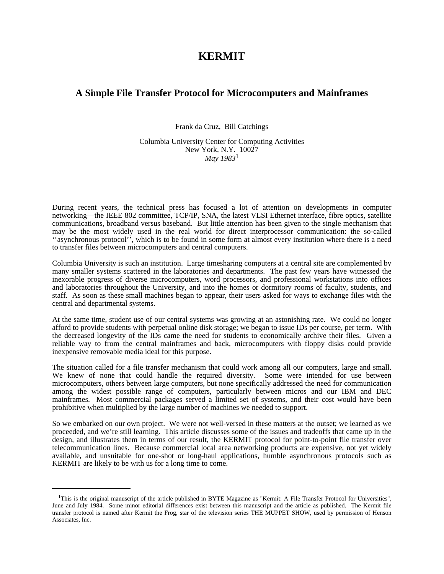# **KERMIT**

# **A Simple File Transfer Protocol for Microcomputers and Mainframes**

Frank da Cruz, Bill Catchings

Columbia University Center for Computing Activities New York, N.Y. 10027 *May 1983*<sup>1</sup>

During recent years, the technical press has focused a lot of attention on developments in computer networking—the IEEE 802 committee, TCP/IP, SNA, the latest VLSI Ethernet interface, fibre optics, satellite communications, broadband versus baseband. But little attention has been given to the single mechanism that may be the most widely used in the real world for direct interprocessor communication: the so-called ''asynchronous protocol'', which is to be found in some form at almost every institution where there is a need to transfer files between microcomputers and central computers.

Columbia University is such an institution. Large timesharing computers at a central site are complemented by many smaller systems scattered in the laboratories and departments. The past few years have witnessed the inexorable progress of diverse microcomputers, word processors, and professional workstations into offices and laboratories throughout the University, and into the homes or dormitory rooms of faculty, students, and staff. As soon as these small machines began to appear, their users asked for ways to exchange files with the central and departmental systems.

At the same time, student use of our central systems was growing at an astonishing rate. We could no longer afford to provide students with perpetual online disk storage; we began to issue IDs per course, per term. With the decreased longevity of the IDs came the need for students to economically archive their files. Given a reliable way to from the central mainframes and back, microcomputers with floppy disks could provide inexpensive removable media ideal for this purpose.

The situation called for a file transfer mechanism that could work among all our computers, large and small. We knew of none that could handle the required diversity. Some were intended for use between microcomputers, others between large computers, but none specifically addressed the need for communication among the widest possible range of computers, particularly between micros and our IBM and DEC mainframes. Most commercial packages served a limited set of systems, and their cost would have been prohibitive when multiplied by the large number of machines we needed to support.

So we embarked on our own project. We were not well-versed in these matters at the outset; we learned as we proceeded, and we're still learning. This article discusses some of the issues and tradeoffs that came up in the design, and illustrates them in terms of our result, the KERMIT protocol for point-to-point file transfer over telecommunication lines. Because commercial local area networking products are expensive, not yet widely available, and unsuitable for one-shot or long-haul applications, humble asynchronous protocols such as KERMIT are likely to be with us for a long time to come.

<sup>&</sup>lt;sup>1</sup>This is the original manuscript of the article published in BYTE Magazine as "Kermit: A File Transfer Protocol for Universities", June and July 1984. Some minor editorial differences exist between this manuscript and the article as published. The Kermit file transfer protocol is named after Kermit the Frog, star of the television series THE MUPPET SHOW, used by permission of Henson Associates, Inc.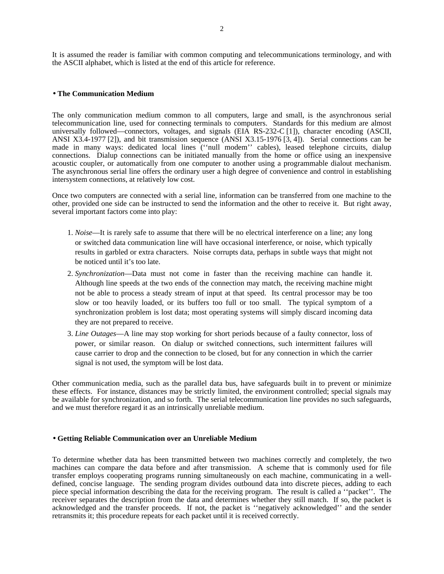It is assumed the reader is familiar with common computing and telecommunications terminology, and with the ASCII alphabet, which is listed at the end of this article for reference.

### • **The Communication Medium**

The only communication medium common to all computers, large and small, is the asynchronous serial telecommunication line, used for connecting terminals to computers. Standards for this medium are almost universally followed—connectors, voltages, and signals (EIA RS-232-C [1]), character encoding (ASCII, ANSI X3.4-1977 [2]), and bit transmission sequence (ANSI X3.15-1976 [3, 4]). Serial connections can be made in many ways: dedicated local lines (''null modem'' cables), leased telephone circuits, dialup connections. Dialup connections can be initiated manually from the home or office using an inexpensive acoustic coupler, or automatically from one computer to another using a programmable dialout mechanism. The asynchronous serial line offers the ordinary user a high degree of convenience and control in establishing intersystem connections, at relatively low cost.

Once two computers are connected with a serial line, information can be transferred from one machine to the other, provided one side can be instructed to send the information and the other to receive it. But right away, several important factors come into play:

- 1. *Noise*—It is rarely safe to assume that there will be no electrical interference on a line; any long or switched data communication line will have occasional interference, or noise, which typically results in garbled or extra characters. Noise corrupts data, perhaps in subtle ways that might not be noticed until it's too late.
- 2. *Synchronization*—Data must not come in faster than the receiving machine can handle it. Although line speeds at the two ends of the connection may match, the receiving machine might not be able to process a steady stream of input at that speed. Its central processor may be too slow or too heavily loaded, or its buffers too full or too small. The typical symptom of a synchronization problem is lost data; most operating systems will simply discard incoming data they are not prepared to receive.
- 3. *Line Outages*—A line may stop working for short periods because of a faulty connector, loss of power, or similar reason. On dialup or switched connections, such intermittent failures will cause carrier to drop and the connection to be closed, but for any connection in which the carrier signal is not used, the symptom will be lost data.

Other communication media, such as the parallel data bus, have safeguards built in to prevent or minimize these effects. For instance, distances may be strictly limited, the environment controlled; special signals may be available for synchronization, and so forth. The serial telecommunication line provides no such safeguards, and we must therefore regard it as an intrinsically unreliable medium.

#### • **Getting Reliable Communication over an Unreliable Medium**

To determine whether data has been transmitted between two machines correctly and completely, the two machines can compare the data before and after transmission. A scheme that is commonly used for file transfer employs cooperating programs running simultaneously on each machine, communicating in a welldefined, concise language. The sending program divides outbound data into discrete pieces, adding to each piece special information describing the data for the receiving program. The result is called a ''packet''. The receiver separates the description from the data and determines whether they still match. If so, the packet is acknowledged and the transfer proceeds. If not, the packet is ''negatively acknowledged'' and the sender retransmits it; this procedure repeats for each packet until it is received correctly.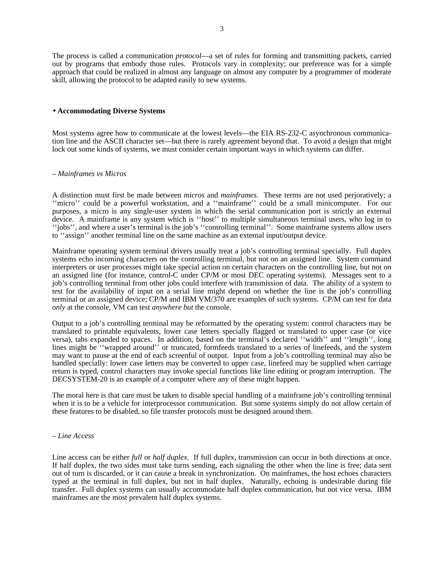The process is called a communication *protocol*—a set of rules for forming and transmitting packets, carried out by programs that embody those rules. Protocols vary in complexity; our preference was for a simple approach that could be realized in almost any language on almost any computer by a programmer of moderate skill, allowing the protocol to be adapted easily to new systems.

## • **Accommodating Diverse Systems**

Most systems agree how to communicate at the lowest levels—the EIA RS-232-C asynchronous communication line and the ASCII character set—but there is rarely agreement beyond that. To avoid a design that might lock out some kinds of systems, we must consider certain important ways in which systems can differ.

# – *Mainframes vs Micros*

A distinction must first be made between *micros* and *mainframes*. These terms are not used perjoratively; a ''micro'' could be a powerful workstation, and a ''mainframe'' could be a small minicomputer. For our purposes, a micro is any single-user system in which the serial communication port is strictly an external device. A mainframe is any system which is ''host'' to multiple simultaneous terminal users, who log in to ''jobs'', and where a user's terminal is the job's ''controlling terminal''. Some mainframe systems allow users to ''assign'' another terminal line on the same machine as an external input/output device.

Mainframe operating system terminal drivers usually treat a job's controlling terminal specially. Full duplex systems echo incoming characters on the controlling terminal, but not on an assigned line. System command interpreters or user processes might take special action on certain characters on the controlling line, but not on an assigned line (for instance, control-C under CP/M or most DEC operating systems). Messages sent to a job's controlling terminal from other jobs could interfere with transmission of data. The ability of a system to test for the availability of input on a serial line might depend on whether the line is the job's controlling terminal or an assigned device; CP/M and IBM VM/370 are examples of such systems. CP/M can test for data *only* at the console, VM can test *anywhere but* the console.

Output to a job's controlling terminal may be reformatted by the operating system: control characters may be translated to printable equivalents, lower case letters specially flagged or translated to upper case (or vice versa), tabs expanded to spaces. In addition, based on the terminal's declared ''width'' and ''length'', long lines might be ''wrapped around'' or truncated, formfeeds translated to a series of linefeeds, and the system may want to pause at the end of each screenful of output. Input from a job's controlling terminal may also be handled specially: lower case letters may be converted to upper case, linefeed may be supplied when carriage return is typed, control characters may invoke special functions like line editing or program interruption. The DECSYSTEM-20 is an example of a computer where any of these might happen.

The moral here is that care must be taken to disable special handling of a mainframe job's controlling terminal when it is to be a vehicle for interprocessor communication. But some systems simply do not allow certain of these features to be disabled, so file transfer protocols must be designed around them.

### – *Line Access*

Line access can be either *full* or *half duplex*. If full duplex, transmission can occur in both directions at once. If half duplex, the two sides must take turns sending, each signaling the other when the line is free; data sent out of turn is discarded, or it can cause a break in synchronization. On mainframes, the host echoes characters typed at the terminal in full duplex, but not in half duplex. Naturally, echoing is undesirable during file transfer. Full duplex systems can usually accommodate half duplex communication, but not vice versa. IBM mainframes are the most prevalent half duplex systems.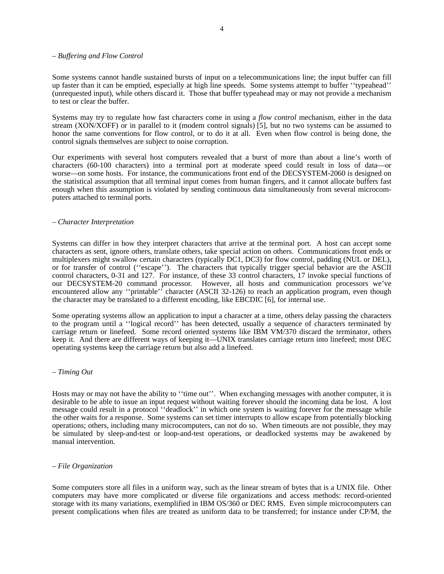### – *Buffering and Flow Control*

Some systems cannot handle sustained bursts of input on a telecommunications line; the input buffer can fill up faster than it can be emptied, especially at high line speeds. Some systems attempt to buffer ''typeahead'' (unrequested input), while others discard it. Those that buffer typeahead may or may not provide a mechanism to test or clear the buffer.

Systems may try to regulate how fast characters come in using a *flow control* mechanism, either in the data stream (XON/XOFF) or in parallel to it (modem control signals) [5], but no two systems can be assumed to honor the same conventions for flow control, or to do it at all. Even when flow control is being done, the control signals themselves are subject to noise corruption.

Our experiments with several host computers revealed that a burst of more than about a line's worth of characters (60-100 characters) into a terminal port at moderate speed could result in loss of data—or worse—on some hosts. For instance, the communications front end of the DECSYSTEM-2060 is designed on the statistical assumption that all terminal input comes from human fingers, and it cannot allocate buffers fast enough when this assumption is violated by sending continuous data simultaneously from several microcomputers attached to terminal ports.

### – *Character Interpretation*

Systems can differ in how they interpret characters that arrive at the terminal port. A host can accept some characters as sent, ignore others, translate others, take special action on others. Communications front ends or multiplexers might swallow certain characters (typically DC1, DC3) for flow control, padding (NUL or DEL), or for transfer of control (''escape''). The characters that typically trigger special behavior are the ASCII control characters, 0-31 and 127. For instance, of these 33 control characters, 17 invoke special functions of our DECSYSTEM-20 command processor. However, all hosts and communication processors we've encountered allow any "printable" character (ASCII 32-126) to reach an application program, even though the character may be translated to a different encoding, like EBCDIC [6], for internal use.

Some operating systems allow an application to input a character at a time, others delay passing the characters to the program until a ''logical record'' has been detected, usually a sequence of characters terminated by carriage return or linefeed. Some record oriented systems like IBM VM/370 discard the terminator, others keep it. And there are different ways of keeping it—UNIX translates carriage return into linefeed; most DEC operating systems keep the carriage return but also add a linefeed.

### – *Timing Out*

Hosts may or may not have the ability to "time out". When exchanging messages with another computer, it is desirable to be able to issue an input request without waiting forever should the incoming data be lost. A lost message could result in a protocol ''deadlock'' in which one system is waiting forever for the message while the other waits for a response. Some systems can set timer interrupts to allow escape from potentially blocking operations; others, including many microcomputers, can not do so. When timeouts are not possible, they may be simulated by sleep-and-test or loop-and-test operations, or deadlocked systems may be awakened by manual intervention.

### – *File Organization*

Some computers store all files in a uniform way, such as the linear stream of bytes that is a UNIX file. Other computers may have more complicated or diverse file organizations and access methods: record-oriented storage with its many variations, exemplified in IBM OS/360 or DEC RMS. Even simple microcomputers can present complications when files are treated as uniform data to be transferred; for instance under CP/M, the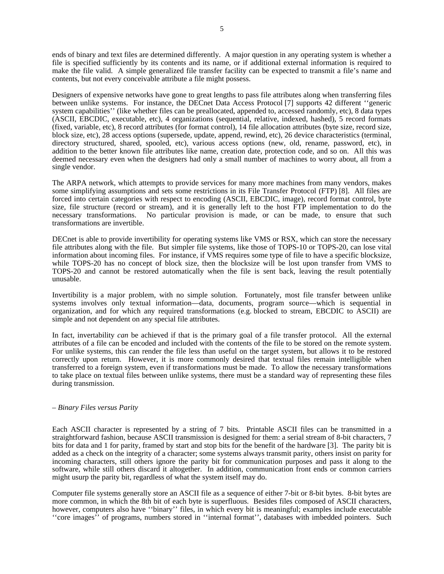ends of binary and text files are determined differently. A major question in any operating system is whether a file is specified sufficiently by its contents and its name, or if additional external information is required to make the file valid. A simple generalized file transfer facility can be expected to transmit a file's name and contents, but not every conceivable attribute a file might possess.

Designers of expensive networks have gone to great lengths to pass file attributes along when transferring files between unlike systems. For instance, the DECnet Data Access Protocol [7] supports 42 different ''generic system capabilities'' (like whether files can be preallocated, appended to, accessed randomly, etc), 8 data types (ASCII, EBCDIC, executable, etc), 4 organizations (sequential, relative, indexed, hashed), 5 record formats (fixed, variable, etc), 8 record attributes (for format control), 14 file allocation attributes (byte size, record size, block size, etc), 28 access options (supersede, update, append, rewind, etc), 26 device characteristics (terminal, directory structured, shared, spooled, etc), various access options (new, old, rename, password, etc), in addition to the better known file attributes like name, creation date, protection code, and so on. All this was deemed necessary even when the designers had only a small number of machines to worry about, all from a single vendor.

The ARPA network, which attempts to provide services for many more machines from many vendors, makes some simplifying assumptions and sets some restrictions in its File Transfer Protocol (FTP) [8]. All files are forced into certain categories with respect to encoding (ASCII, EBCDIC, image), record format control, byte size, file structure (record or stream), and it is generally left to the host FTP implementation to do the necessary transformations. No particular provision is made, or can be made, to ensure that such transformations are invertible.

DECnet is able to provide invertibility for operating systems like VMS or RSX, which can store the necessary file attributes along with the file. But simpler file systems, like those of TOPS-10 or TOPS-20, can lose vital information about incoming files. For instance, if VMS requires some type of file to have a specific blocksize, while TOPS-20 has no concept of block size, then the blocksize will be lost upon transfer from VMS to TOPS-20 and cannot be restored automatically when the file is sent back, leaving the result potentially unusable.

Invertibility is a major problem, with no simple solution. Fortunately, most file transfer between unlike systems involves only textual information—data, documents, program source—which is sequential in organization, and for which any required transformations (e.g. blocked to stream, EBCDIC to ASCII) are simple and not dependent on any special file attributes.

In fact, invertability *can* be achieved if that is the primary goal of a file transfer protocol. All the external attributes of a file can be encoded and included with the contents of the file to be stored on the remote system. For unlike systems, this can render the file less than useful on the target system, but allows it to be restored correctly upon return. However, it is more commonly desired that textual files remain intelligible when transferred to a foreign system, even if transformations must be made. To allow the necessary transformations to take place on textual files between unlike systems, there must be a standard way of representing these files during transmission.

# – *Binary Files versus Parity*

Each ASCII character is represented by a string of 7 bits. Printable ASCII files can be transmitted in a straightforward fashion, because ASCII transmission is designed for them: a serial stream of 8-bit characters, 7 bits for data and 1 for parity, framed by start and stop bits for the benefit of the hardware [3]. The parity bit is added as a check on the integrity of a character; some systems always transmit parity, others insist on parity for incoming characters, still others ignore the parity bit for communication purposes and pass it along to the software, while still others discard it altogether. In addition, communication front ends or common carriers might usurp the parity bit, regardless of what the system itself may do.

Computer file systems generally store an ASCII file as a sequence of either 7-bit or 8-bit bytes. 8-bit bytes are more common, in which the 8th bit of each byte is superfluous. Besides files composed of ASCII characters, however, computers also have ''binary'' files, in which every bit is meaningful; examples include executable "core images" of programs, numbers stored in "internal format", databases with imbedded pointers. Such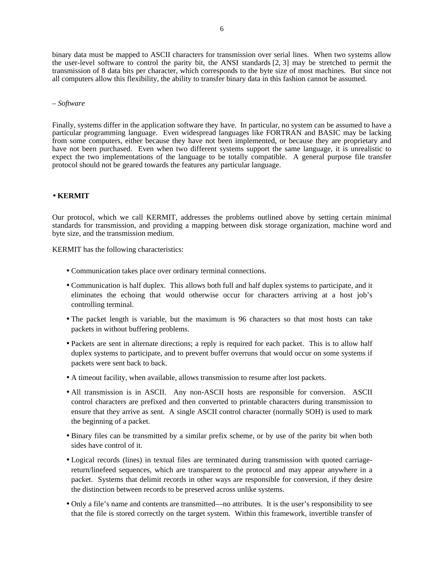binary data must be mapped to ASCII characters for transmission over serial lines. When two systems allow the user-level software to control the parity bit, the ANSI standards [2, 3] may be stretched to permit the transmission of 8 data bits per character, which corresponds to the byte size of most machines. But since not all computers allow this flexibility, the ability to transfer binary data in this fashion cannot be assumed.

## – *Software*

Finally, systems differ in the application software they have. In particular, no system can be assumed to have a particular programming language. Even widespread languages like FORTRAN and BASIC may be lacking from some computers, either because they have not been implemented, or because they are proprietary and have not been purchased. Even when two different systems support the same language, it is unrealistic to expect the two implementations of the language to be totally compatible. A general purpose file transfer protocol should not be geared towards the features any particular language.

# • **KERMIT**

Our protocol, which we call KERMIT, addresses the problems outlined above by setting certain minimal standards for transmission, and providing a mapping between disk storage organization, machine word and byte size, and the transmission medium.

KERMIT has the following characteristics:

- Communication takes place over ordinary terminal connections.
- Communication is half duplex. This allows both full and half duplex systems to participate, and it eliminates the echoing that would otherwise occur for characters arriving at a host job's controlling terminal.
- The packet length is variable, but the maximum is 96 characters so that most hosts can take packets in without buffering problems.
- Packets are sent in alternate directions; a reply is required for each packet. This is to allow half duplex systems to participate, and to prevent buffer overruns that would occur on some systems if packets were sent back to back.
- A timeout facility, when available, allows transmission to resume after lost packets.
- All transmission is in ASCII. Any non-ASCII hosts are responsible for conversion. ASCII control characters are prefixed and then converted to printable characters during transmission to ensure that they arrive as sent. A single ASCII control character (normally SOH) is used to mark the beginning of a packet.
- Binary files can be transmitted by a similar prefix scheme, or by use of the parity bit when both sides have control of it.
- Logical records (lines) in textual files are terminated during transmission with quoted carriagereturn/linefeed sequences, which are transparent to the protocol and may appear anywhere in a packet. Systems that delimit records in other ways are responsible for conversion, if they desire the distinction between records to be preserved across unlike systems.
- Only a file's name and contents are transmitted—no attributes. It is the user's responsibility to see that the file is stored correctly on the target system. Within this framework, invertible transfer of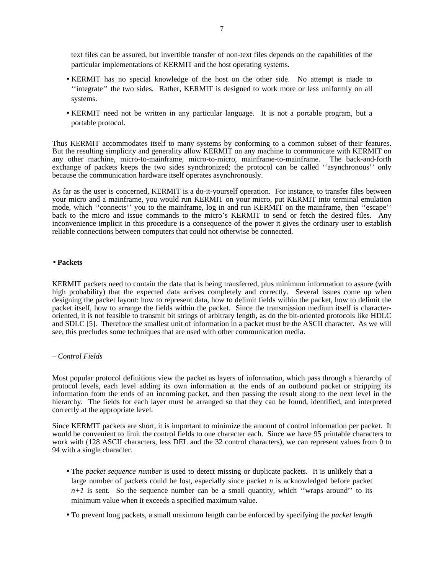text files can be assured, but invertible transfer of non-text files depends on the capabilities of the particular implementations of KERMIT and the host operating systems.

- KERMIT has no special knowledge of the host on the other side. No attempt is made to ''integrate'' the two sides. Rather, KERMIT is designed to work more or less uniformly on all systems.
- KERMIT need not be written in any particular language. It is not a portable program, but a portable protocol.

Thus KERMIT accommodates itself to many systems by conforming to a common subset of their features. But the resulting simplicity and generality allow KERMIT on any machine to communicate with KERMIT on any other machine, micro-to-mainframe, micro-to-micro, mainframe-to-mainframe. The back-and-forth exchange of packets keeps the two sides synchronized; the protocol can be called ''asynchronous'' only because the communication hardware itself operates asynchronously.

As far as the user is concerned, KERMIT is a do-it-yourself operation. For instance, to transfer files between your micro and a mainframe, you would run KERMIT on your micro, put KERMIT into terminal emulation mode, which ''connects'' you to the mainframe, log in and run KERMIT on the mainframe, then ''escape'' back to the micro and issue commands to the micro's KERMIT to send or fetch the desired files. Any inconvenience implicit in this procedure is a consequence of the power it gives the ordinary user to establish reliable connections between computers that could not otherwise be connected.

### • **Packets**

KERMIT packets need to contain the data that is being transferred, plus minimum information to assure (with high probability) that the expected data arrives completely and correctly. Several issues come up when designing the packet layout: how to represent data, how to delimit fields within the packet, how to delimit the packet itself, how to arrange the fields within the packet. Since the transmission medium itself is characteroriented, it is not feasible to transmit bit strings of arbitrary length, as do the bit-oriented protocols like HDLC and SDLC [5]. Therefore the smallest unit of information in a packet must be the ASCII character. As we will see, this precludes some techniques that are used with other communication media.

#### – *Control Fields*

Most popular protocol definitions view the packet as layers of information, which pass through a hierarchy of protocol levels, each level adding its own information at the ends of an outbound packet or stripping its information from the ends of an incoming packet, and then passing the result along to the next level in the hierarchy. The fields for each layer must be arranged so that they can be found, identified, and interpreted correctly at the appropriate level.

Since KERMIT packets are short, it is important to minimize the amount of control information per packet. It would be convenient to limit the control fields to one character each. Since we have 95 printable characters to work with (128 ASCII characters, less DEL and the 32 control characters), we can represent values from 0 to 94 with a single character.

- The *packet sequence number* is used to detect missing or duplicate packets. It is unlikely that a large number of packets could be lost, especially since packet *n* is acknowledged before packet  $n+1$  is sent. So the sequence number can be a small quantity, which "wraps around" to its minimum value when it exceeds a specified maximum value.
- To prevent long packets, a small maximum length can be enforced by specifying the *packet length*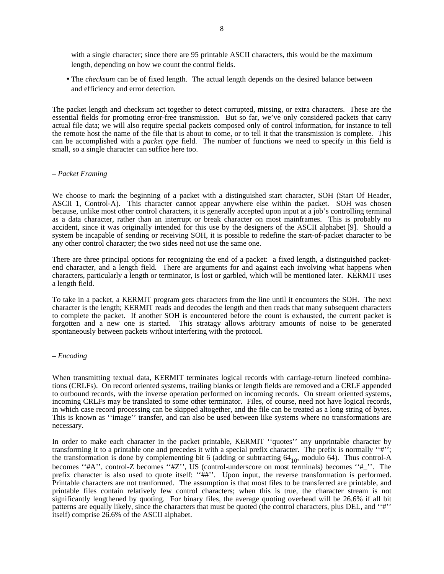with a single character; since there are 95 printable ASCII characters, this would be the maximum length, depending on how we count the control fields.

• The *checksum* can be of fixed length. The actual length depends on the desired balance between and efficiency and error detection.

The packet length and checksum act together to detect corrupted, missing, or extra characters. These are the essential fields for promoting error-free transmission. But so far, we've only considered packets that carry actual file data; we will also require special packets composed only of control information, for instance to tell the remote host the name of the file that is about to come, or to tell it that the transmission is complete. This can be accomplished with a *packet type* field. The number of functions we need to specify in this field is small, so a single character can suffice here too.

### – *Packet Framing*

We choose to mark the beginning of a packet with a distinguished start character, SOH (Start Of Header, ASCII 1, Control-A). This character cannot appear anywhere else within the packet. SOH was chosen because, unlike most other control characters, it is generally accepted upon input at a job's controlling terminal as a data character, rather than an interrupt or break character on most mainframes. This is probably no accident, since it was originally intended for this use by the designers of the ASCII alphabet [9]. Should a system be incapable of sending or receiving SOH, it is possible to redefine the start-of-packet character to be any other control character; the two sides need not use the same one.

There are three principal options for recognizing the end of a packet: a fixed length, a distinguished packetend character, and a length field. There are arguments for and against each involving what happens when characters, particularly a length or terminator, is lost or garbled, which will be mentioned later. KERMIT uses a length field.

To take in a packet, a KERMIT program gets characters from the line until it encounters the SOH. The next character is the length; KERMIT reads and decodes the length and then reads that many subsequent characters to complete the packet. If another SOH is encountered before the count is exhausted, the current packet is forgotten and a new one is started. This stratagy allows arbitrary amounts of noise to be generated spontaneously between packets without interfering with the protocol.

# – *Encoding*

When transmitting textual data, KERMIT terminates logical records with carriage-return linefeed combinations (CRLFs). On record oriented systems, trailing blanks or length fields are removed and a CRLF appended to outbound records, with the inverse operation performed on incoming records. On stream oriented systems, incoming CRLFs may be translated to some other terminator. Files, of course, need not have logical records, in which case record processing can be skipped altogether, and the file can be treated as a long string of bytes. This is known as ''image'' transfer, and can also be used between like systems where no transformations are necessary.

In order to make each character in the packet printable, KERMIT ''quotes'' any unprintable character by transforming it to a printable one and precedes it with a special prefix character. The prefix is normally ''#''; the transformation is done by complementing bit 6 (adding or subtracting  $64_{10}$ , modulo 64). Thus control-A becomes "#A", control-Z becomes "#Z", US (control-underscore on most terminals) becomes "#\_". The prefix character is also used to quote itself: ''##''. Upon input, the reverse transformation is performed. Printable characters are not tranformed. The assumption is that most files to be transferred are printable, and printable files contain relatively few control characters; when this is true, the character stream is not significantly lengthened by quoting. For binary files, the average quoting overhead will be 26.6% if all bit patterns are equally likely, since the characters that must be quoted (the control characters, plus DEL, and ''#'' itself) comprise 26.6% of the ASCII alphabet.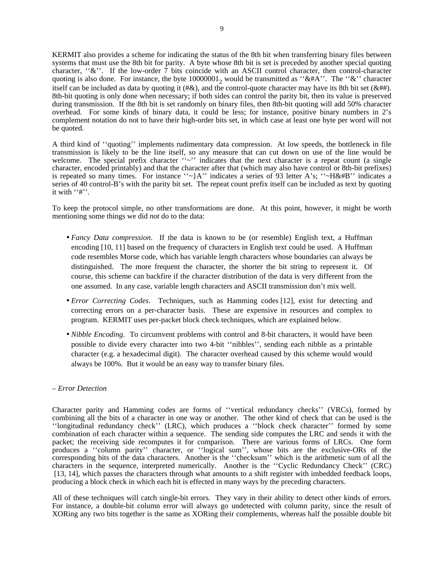KERMIT also provides a scheme for indicating the status of the 8th bit when transferring binary files between systems that must use the 8th bit for parity. A byte whose 8th bit is set is preceded by another special quoting character, " $\&$ ". If the low-order  $\bar{7}$  bits coincide with an ASCII control character, then control-character quoting is also done. For instance, the byte  $10000001$ <sub>2</sub> would be transmitted as "&#A". The "&" character itself can be included as data by quoting it (#&), and the control-quote character may have its 8th bit set ( $\&$ ##). 8th-bit quoting is only done when necessary; if both sides can control the parity bit, then its value is preserved during transmission. If the 8th bit is set randomly on binary files, then 8th-bit quoting will add 50% character overhead. For some kinds of binary data, it could be less; for instance, positive binary numbers in 2's complement notation do not to have their high-order bits set, in which case at least one byte per word will not be quoted.

A third kind of ''quoting'' implements rudimentary data compression. At low speeds, the bottleneck in file transmission is likely to be the line itself, so any measure that can cut down on use of the line would be welcome. The special prefix character  $\cdot \cdot \cdot$  indicates that the next character is a repeat count (a single character, encoded printably) and that the character after that (which may also have control or 8th-bit prefixes) is repeated so many times. For instance ''~}A'' indicates a series of 93 letter A's; ''~H&#B'' indicates a series of 40 control-B's with the parity bit set. The repeat count prefix itself can be included as text by quoting it with ''#''.

To keep the protocol simple, no other transformations are done. At this point, however, it might be worth mentioning some things we did *not* do to the data:

- *Fancy Data compression*. If the data is known to be (or resemble) English text, a Huffman encoding [10, 11] based on the frequency of characters in English text could be used. A Huffman code resembles Morse code, which has variable length characters whose boundaries can always be distinguished. The more frequent the character, the shorter the bit string to represent it. Of course, this scheme can backfire if the character distribution of the data is very different from the one assumed. In any case, variable length characters and ASCII transmission don't mix well.
- *Error Correcting Codes*. Techniques, such as Hamming codes [12], exist for detecting and correcting errors on a per-character basis. These are expensive in resources and complex to program. KERMIT uses per-packet block check techniques, which are explained below.
- *Nibble Encoding*. To circumvent problems with control and 8-bit characters, it would have been possible to divide every character into two 4-bit ''nibbles'', sending each nibble as a printable character (e.g. a hexadecimal digit). The character overhead caused by this scheme would would always be 100%. But it would be an easy way to transfer binary files.

### – *Error Detection*

Character parity and Hamming codes are forms of ''vertical redundancy checks'' (VRCs), formed by combining all the bits of a character in one way or another. The other kind of check that can be used is the ''longitudinal redundancy check'' (LRC), which produces a ''block check character'' formed by some combination of each character within a sequence. The sending side computes the LRC and sends it with the packet; the receiving side recomputes it for comparison. There are various forms of LRCs. One form produces a ''column parity'' character, or ''logical sum'', whose bits are the exclusive-ORs of the corresponding bits of the data characters. Another is the ''checksum'' which is the arithmetic sum of all the characters in the sequence, interpreted numerically. Another is the ''Cyclic Redundancy Check'' (CRC) [13, 14], which passes the characters through what amounts to a shift register with imbedded feedback loops, producing a block check in which each bit is effected in many ways by the preceding characters.

All of these techniques will catch single-bit errors. They vary in their ability to detect other kinds of errors. For instance, a double-bit column error will always go undetected with column parity, since the result of XORing any two bits together is the same as XORing their complements, whereas half the possible double bit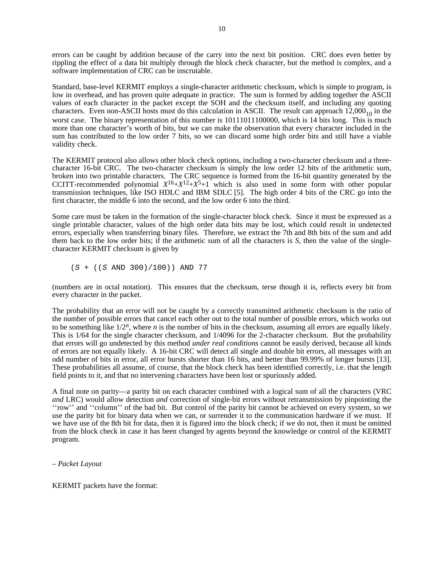errors can be caught by addition because of the carry into the next bit position. CRC does even better by rippling the effect of a data bit multiply through the block check character, but the method is complex, and a software implementation of CRC can be inscrutable.

Standard, base-level KERMIT employs a single-character arithmetic checksum, which is simple to program, is low in overhead, and has proven quite adequate in practice. The sum is formed by adding together the ASCII values of each character in the packet except the SOH and the checksum itself, and including any quoting characters. Even non-ASCII hosts must do this calculation in ASCII. The result can approach  $12,000_{10}$  in the worst case. The binary representation of this number is 10111011100000, which is 14 bits long. This is much more than one character's worth of bits, but we can make the observation that every character included in the sum has contributed to the low order 7 bits, so we can discard some high order bits and still have a viable validity check.

The KERMIT protocol also allows other block check options, including a two-character checksum and a threecharacter 16-bit CRC. The two-character checksum is simply the low order 12 bits of the arithmetic sum, broken into two printable characters. The CRC sequence is formed from the 16-bit quantity generated by the CCITT-recommended polynomial  $X^{16} + X^{12} + X^5 + 1$  which is also used in some form with other popular transmission techniques, like ISO HDLC and IBM SDLC [5]. The high order 4 bits of the CRC go into the first character, the middle 6 into the second, and the low order 6 into the third.

Some care must be taken in the formation of the single-character block check. Since it must be expressed as a single printable character, values of the high order data bits may be lost, which could result in undetected errors, especially when transferring binary files. Therefore, we extract the 7th and 8th bits of the sum and add them back to the low order bits; if the arithmetic sum of all the characters is *S*, then the value of the singlecharacter KERMIT checksum is given by

 $(S + ((S AND 300)/100))$  AND 77

(numbers are in octal notation). This ensures that the checksum, terse though it is, reflects every bit from every character in the packet.

The probability that an error will not be caught by a correctly transmitted arithmetic checksum is the ratio of the number of possible errors that cancel each other out to the total number of possible errors, which works out to be something like  $1/2^n$ , where *n* is the number of bits in the checksum, assuming all errors are equally likely. This is 1/64 for the single character checksum, and 1/4096 for the 2-character checksum. But the probability that errors will go undetected by this method *under real conditions* cannot be easily derived, because all kinds of errors are not equally likely. A 16-bit CRC will detect all single and double bit errors, all messages with an odd number of bits in error, all error bursts shorter than 16 bits, and better than 99.99% of longer bursts [13]. These probabilities all assume, of course, that the block check has been identified correctly, i.e. that the length field points to it, and that no intervening characters have been lost or spuriously added.

A final note on parity—a parity bit on each character combined with a logical sum of all the characters (VRC *and* LRC) would allow detection *and* correction of single-bit errors without retransmission by pinpointing the ''row'' and ''column'' of the bad bit. But control of the parity bit cannot be achieved on every system, so we use the parity bit for binary data when we can, or surrender it to the communication hardware if we must. If we have use of the 8th bit for data, then it is figured into the block check; if we do not, then it must be omitted from the block check in case it has been changed by agents beyond the knowledge or control of the KERMIT program.

– *Packet Layout*

KERMIT packets have the format: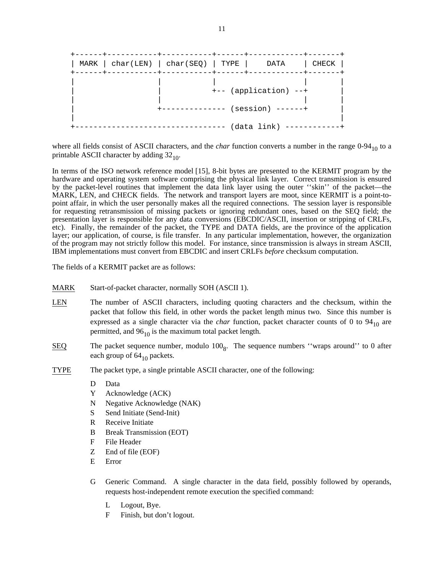| MARK $  char(LEN)   char(SEQ)   TYPE   DATA$ | $- - - - - - -$ |                                              | CHECK |
|----------------------------------------------|-----------------|----------------------------------------------|-------|
|                                              |                 | +-- (application) --+<br>$(session)$ ------+ |       |
|                                              |                 | $(data link)$ ----                           |       |

where all fields consist of ASCII characters, and the *char* function converts a number in the range 0-94<sub>10</sub> to a printable ASCII character by adding  $32_{10}$ .

In terms of the ISO network reference model [15], 8-bit bytes are presented to the KERMIT program by the hardware and operating system software comprising the physical link layer. Correct transmission is ensured by the packet-level routines that implement the data link layer using the outer "skin" of the packet—the MARK, LEN, and CHECK fields. The network and transport layers are moot, since KERMIT is a point-topoint affair, in which the user personally makes all the required connections. The session layer is responsible for requesting retransmission of missing packets or ignoring redundant ones, based on the SEQ field; the presentation layer is responsible for any data conversions (EBCDIC/ASCII, insertion or stripping of CRLFs, etc). Finally, the remainder of the packet, the TYPE and DATA fields, are the province of the application layer; our application, of course, is file transfer. In any particular implementation, however, the organization of the program may not strictly follow this model. For instance, since transmission is always in stream ASCII, IBM implementations must convert from EBCDIC and insert CRLFs *before* checksum computation.

The fields of a KERMIT packet are as follows:

- MARK Start-of-packet character, normally SOH (ASCII 1).
- LEN The number of ASCII characters, including quoting characters and the checksum, within the packet that follow this field, in other words the packet length minus two. Since this number is expressed as a single character via the *char* function, packet character counts of 0 to  $94_{10}$  are permitted, and  $96_{10}$  is the maximum total packet length.
- $SEQ$  The packet sequence number, modulo  $100<sub>8</sub>$ . The sequence numbers "wraps around" to 0 after each group of  $64_{10}$  packets.
- TYPE The packet type, a single printable ASCII character, one of the following:
	- D Data
	- Y Acknowledge (ACK)
	- N Negative Acknowledge (NAK)
	- S Send Initiate (Send-Init)
	- R Receive Initiate
	- B Break Transmission (EOT)
	- F File Header
	- Z End of file (EOF)
	- E Error
	- G Generic Command. A single character in the data field, possibly followed by operands, requests host-independent remote execution the specified command:
		- L Logout, Bye.
		- F Finish, but don't logout.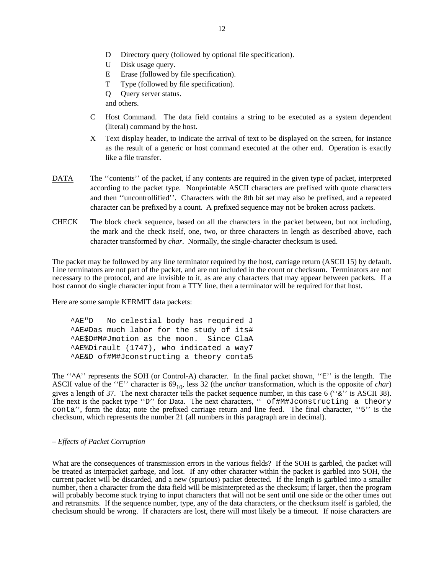- D Directory query (followed by optional file specification).
- U Disk usage query.
- E Erase (followed by file specification).
- T Type (followed by file specification).
- Q Query server status.

and others.

- C Host Command. The data field contains a string to be executed as a system dependent (literal) command by the host.
- X Text display header, to indicate the arrival of text to be displayed on the screen, for instance as the result of a generic or host command executed at the other end. Operation is exactly like a file transfer.
- DATA The "contents" of the packet, if any contents are required in the given type of packet, interpreted according to the packet type. Nonprintable ASCII characters are prefixed with quote characters and then ''uncontrollified''. Characters with the 8th bit set may also be prefixed, and a repeated character can be prefixed by a count. A prefixed sequence may not be broken across packets.
- CHECK The block check sequence, based on all the characters in the packet between, but not including, the mark and the check itself, one, two, or three characters in length as described above, each character transformed by *char*. Normally, the single-character checksum is used.

The packet may be followed by any line terminator required by the host, carriage return (ASCII 15) by default. Line terminators are not part of the packet, and are not included in the count or checksum. Terminators are not necessary to the protocol, and are invisible to it, as are any characters that may appear between packets. If a host cannot do single character input from a TTY line, then a terminator will be required for that host.

Here are some sample KERMIT data packets:

^AE"D No celestial body has required J ^AE#Das much labor for the study of its# ^AE\$D#M#Jmotion as the moon. Since ClaA ^AE%Dirault (1747), who indicated a way7 ^AE&D of#M#Jconstructing a theory conta5

The " $^{\star}$ A'' represents the SOH (or Control-A) character. In the final packet shown, "E'' is the length. The ASCII value of the " $E$ " character is  $69_{10}$ , less 32 (the *unchar* transformation, which is the opposite of *char*) gives a length of 37. The next character tells the packet sequence number, in this case 6 (" $\&$ " is ASCII 38). The next is the packet type "D" for Data. The next characters, " of#M#Jconstructing a theory conta'', form the data; note the prefixed carriage return and line feed. The final character, ''5'' is the checksum, which represents the number 21 (all numbers in this paragraph are in decimal).

# – *Effects of Packet Corruption*

What are the consequences of transmission errors in the various fields? If the SOH is garbled, the packet will be treated as interpacket garbage, and lost. If any other character within the packet is garbled into SOH, the current packet will be discarded, and a new (spurious) packet detected. If the length is garbled into a smaller number, then a character from the data field will be misinterpreted as the checksum; if larger, then the program will probably become stuck trying to input characters that will not be sent until one side or the other times out and retransmits. If the sequence number, type, any of the data characters, or the checksum itself is garbled, the checksum should be wrong. If characters are lost, there will most likely be a timeout. If noise characters are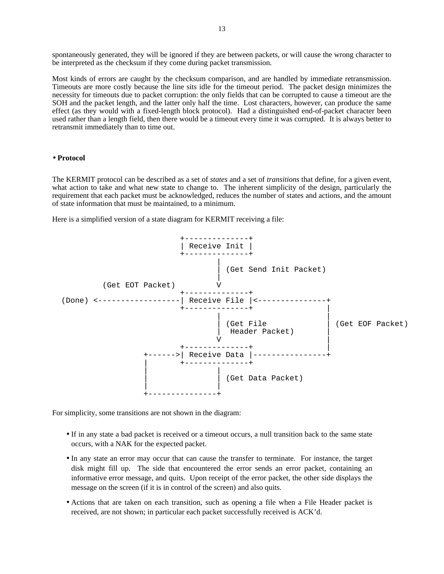spontaneously generated, they will be ignored if they are between packets, or will cause the wrong character to be interpreted as the checksum if they come during packet transmission.

Most kinds of errors are caught by the checksum comparison, and are handled by immediate retransmission. Timeouts are more costly because the line sits idle for the timeout period. The packet design minimizes the necessity for timeouts due to packet corruption: the only fields that can be corrupted to cause a timeout are the SOH and the packet length, and the latter only half the time. Lost characters, however, can produce the same effect (as they would with a fixed-length block protocol). Had a distinguished end-of-packet character been used rather than a length field, then there would be a timeout every time it was corrupted. It is always better to retransmit immediately than to time out.

### • **Protocol**

The KERMIT protocol can be described as a set of *states* and a set of *transitions* that define, for a given event, what action to take and what new state to change to. The inherent simplicity of the design, particularly the requirement that each packet must be acknowledged, reduces the number of states and actions, and the amount of state information that must be maintained, to a minimum.

Here is a simplified version of a state diagram for KERMIT receiving a file:



For simplicity, some transitions are not shown in the diagram:

- If in any state a bad packet is received or a timeout occurs, a null transition back to the same state occurs, with a NAK for the expected packet.
- In any state an error may occur that can cause the transfer to terminate. For instance, the target disk might fill up. The side that encountered the error sends an error packet, containing an informative error message, and quits. Upon receipt of the error packet, the other side displays the message on the screen (if it is in control of the screen) and also quits.
- Actions that are taken on each transition, such as opening a file when a File Header packet is received, are not shown; in particular each packet successfully received is ACK'd.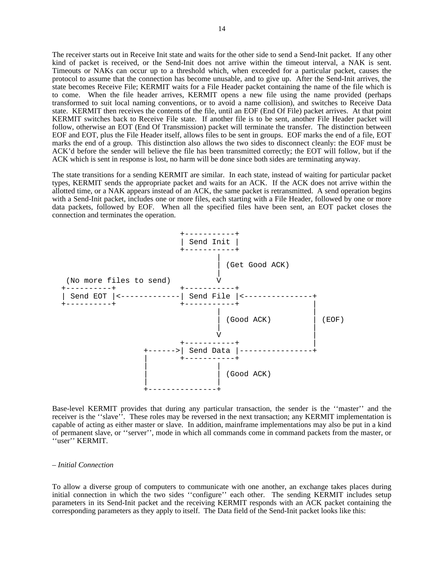The receiver starts out in Receive Init state and waits for the other side to send a Send-Init packet. If any other kind of packet is received, or the Send-Init does not arrive within the timeout interval, a NAK is sent. Timeouts or NAKs can occur up to a threshold which, when exceeded for a particular packet, causes the protocol to assume that the connection has become unusable, and to give up. After the Send-Init arrives, the state becomes Receive File; KERMIT waits for a File Header packet containing the name of the file which is to come. When the file header arrives, KERMIT opens a new file using the name provided (perhaps transformed to suit local naming conventions, or to avoid a name collision), and switches to Receive Data state. KERMIT then receives the contents of the file, until an EOF (End Of File) packet arrives. At that point KERMIT switches back to Receive File state. If another file is to be sent, another File Header packet will follow, otherwise an EOT (End Of Transmission) packet will terminate the transfer. The distinction between EOF and EOT, plus the File Header itself, allows files to be sent in groups. EOF marks the end of a file, EOT marks the end of a group. This distinction also allows the two sides to disconnect cleanly: the EOF must be ACK'd before the sender will believe the file has been transmitted correctly; the EOT will follow, but if the ACK which is sent in response is lost, no harm will be done since both sides are terminating anyway.

The state transitions for a sending KERMIT are similar. In each state, instead of waiting for particular packet types, KERMIT sends the appropriate packet and waits for an ACK. If the ACK does not arrive within the allotted time, or a NAK appears instead of an ACK, the same packet is retransmitted. A send operation begins with a Send-Init packet, includes one or more files, each starting with a File Header, followed by one or more data packets, followed by EOF. When all the specified files have been sent, an EOT packet closes the connection and terminates the operation.



Base-level KERMIT provides that during any particular transaction, the sender is the ''master'' and the receiver is the ''slave''. These roles may be reversed in the next transaction; any KERMIT implementation is capable of acting as either master or slave. In addition, mainframe implementations may also be put in a kind of permanent slave, or ''server'', mode in which all commands come in command packets from the master, or ''user'' KERMIT.

#### – *Initial Connection*

To allow a diverse group of computers to communicate with one another, an exchange takes places during initial connection in which the two sides "configure" each other. The sending KERMIT includes setup parameters in its Send-Init packet and the receiving KERMIT responds with an ACK packet containing the corresponding parameters as they apply to itself. The Data field of the Send-Init packet looks like this: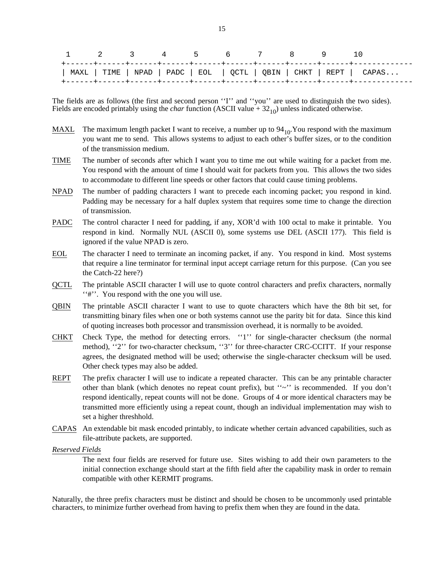| 1 2 3 4 5 6 7 8 9 |  |  |  |  |                                                                     |
|-------------------|--|--|--|--|---------------------------------------------------------------------|
|                   |  |  |  |  | MAXL   TIME   NPAD   PADC   EOL   QCTL   QBIN   CHKT   REPT   CAPAS |

The fields are as follows (the first and second person "I" and "you" are used to distinguish the two sides). Fields are encoded printably using the *char* function (ASCII value  $+ 32_{10}$ ) unless indicated otherwise.

- MAXL The maximum length packet I want to receive, a number up to  $94_{10}$ . You respond with the maximum you want me to send. This allows systems to adjust to each other's buffer sizes, or to the condition of the transmission medium.
- TIME The number of seconds after which I want you to time me out while waiting for a packet from me. You respond with the amount of time I should wait for packets from you. This allows the two sides to accommodate to different line speeds or other factors that could cause timing problems.
- NPAD The number of padding characters I want to precede each incoming packet; you respond in kind. Padding may be necessary for a half duplex system that requires some time to change the direction of transmission.
- PADC The control character I need for padding, if any, XOR'd with 100 octal to make it printable. You respond in kind. Normally NUL (ASCII 0), some systems use DEL (ASCII 177). This field is ignored if the value NPAD is zero.
- EOL The character I need to terminate an incoming packet, if any. You respond in kind. Most systems that require a line terminator for terminal input accept carriage return for this purpose. (Can you see the Catch-22 here?)
- QCTL The printable ASCII character I will use to quote control characters and prefix characters, normally ''#''. You respond with the one you will use.
- QBIN The printable ASCII character I want to use to quote characters which have the 8th bit set, for transmitting binary files when one or both systems cannot use the parity bit for data. Since this kind of quoting increases both processor and transmission overhead, it is normally to be avoided.
- CHKT Check Type, the method for detecting errors. "1" for single-character checksum (the normal method), "2" for two-character checksum, "3" for three-character CRC-CCITT. If your response agrees, the designated method will be used; otherwise the single-character checksum will be used. Other check types may also be added.
- REPT The prefix character I will use to indicate a repeated character. This can be any printable character other than blank (which denotes no repeat count prefix), but  $\sim$ " is recommended. If you don't respond identically, repeat counts will not be done. Groups of 4 or more identical characters may be transmitted more efficiently using a repeat count, though an individual implementation may wish to set a higher threshhold.
- CAPAS An extendable bit mask encoded printably, to indicate whether certain advanced capabilities, such as file-attribute packets, are supported.

*Reserved Fields*

The next four fields are reserved for future use. Sites wishing to add their own parameters to the initial connection exchange should start at the fifth field after the capability mask in order to remain compatible with other KERMIT programs.

Naturally, the three prefix characters must be distinct and should be chosen to be uncommonly used printable characters, to minimize further overhead from having to prefix them when they are found in the data.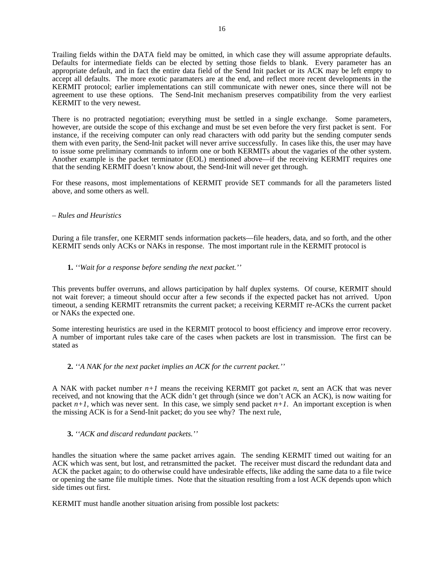Trailing fields within the DATA field may be omitted, in which case they will assume appropriate defaults. Defaults for intermediate fields can be elected by setting those fields to blank. Every parameter has an appropriate default, and in fact the entire data field of the Send Init packet or its ACK may be left empty to accept all defaults. The more exotic paramaters are at the end, and reflect more recent developments in the KERMIT protocol; earlier implementations can still communicate with newer ones, since there will not be agreement to use these options. The Send-Init mechanism preserves compatibility from the very earliest KERMIT to the very newest.

There is no protracted negotiation; everything must be settled in a single exchange. Some parameters, however, are outside the scope of this exchange and must be set even before the very first packet is sent. For instance, if the receiving computer can only read characters with odd parity but the sending computer sends them with even parity, the Send-Init packet will never arrive successfully. In cases like this, the user may have to issue some preliminary commands to inform one or both KERMITs about the vagaries of the other system. Another example is the packet terminator (EOL) mentioned above—if the receiving KERMIT requires one that the sending KERMIT doesn't know about, the Send-Init will never get through.

For these reasons, most implementations of KERMIT provide SET commands for all the parameters listed above, and some others as well.

# – *Rules and Heuristics*

During a file transfer, one KERMIT sends information packets—file headers, data, and so forth, and the other KERMIT sends only ACKs or NAKs in response. The most important rule in the KERMIT protocol is

# **1.** *''Wait for a response before sending the next packet.''*

This prevents buffer overruns, and allows participation by half duplex systems. Of course, KERMIT should not wait forever; a timeout should occur after a few seconds if the expected packet has not arrived. Upon timeout, a sending KERMIT retransmits the current packet; a receiving KERMIT re-ACKs the current packet or NAKs the expected one.

Some interesting heuristics are used in the KERMIT protocol to boost efficiency and improve error recovery. A number of important rules take care of the cases when packets are lost in transmission. The first can be stated as

# **2.** *''A NAK for the next packet implies an ACK for the current packet.''*

A NAK with packet number *n+1* means the receiving KERMIT got packet *n*, sent an ACK that was never received, and not knowing that the ACK didn't get through (since we don't ACK an ACK), is now waiting for packet  $n+1$ , which was never sent. In this case, we simply send packet  $n+1$ . An important exception is when the missing ACK is for a Send-Init packet; do you see why? The next rule,

# **3.** *''ACK and discard redundant packets.''*

handles the situation where the same packet arrives again. The sending KERMIT timed out waiting for an ACK which was sent, but lost, and retransmitted the packet. The receiver must discard the redundant data and ACK the packet again; to do otherwise could have undesirable effects, like adding the same data to a file twice or opening the same file multiple times. Note that the situation resulting from a lost ACK depends upon which side times out first.

KERMIT must handle another situation arising from possible lost packets: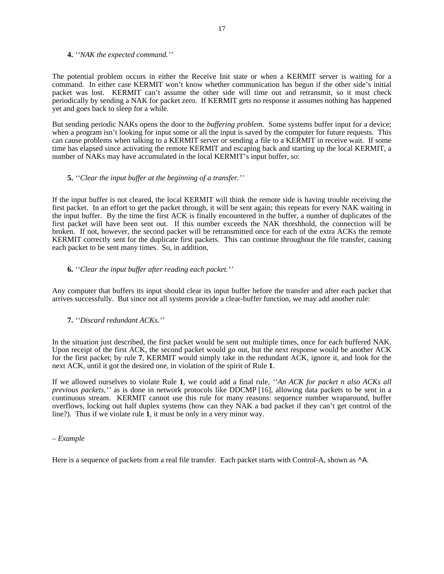#### **4.** *''NAK the expected command.''*

The potential problem occurs in either the Receive Init state or when a KERMIT server is waiting for a command. In either case KERMIT won't know whether communication has begun if the other side's initial packet was lost. KERMIT can't assume the other side will time out and retransmit, so it must check periodically by sending a NAK for packet zero. If KERMIT gets no response it assumes nothing has happened yet and goes back to sleep for a while.

But sending periodic NAKs opens the door to the *buffering problem*. Some systems buffer input for a device; when a program isn't looking for input some or all the input is saved by the computer for future requests. This can cause problems when talking to a KERMIT server or sending a file to a KERMIT in receive wait. If some time has elapsed since activating the remote KERMIT and escaping back and starting up the local KERMIT, a number of NAKs may have accumulated in the local KERMIT's input buffer, so:

### **5.** *''Clear the input buffer at the beginning of a transfer.''*

If the input buffer is not cleared, the local KERMIT will think the remote side is having trouble receiving the first packet. In an effort to get the packet through, it will be sent again; this repeats for every NAK waiting in the input buffer. By the time the first ACK is finally encountered in the buffer, a number of duplicates of the first packet will have been sent out. If this number exceeds the NAK threshhold, the connection will be broken. If not, however, the second packet will be retransmitted once for each of the extra ACKs the remote KERMIT correctly sent for the duplicate first packets. This can continue throughout the file transfer, causing each packet to be sent many times. So, in addition,

# **6.** *''Clear the input buffer after reading each packet.''*

Any computer that buffers its input should clear its input buffer before the transfer and after each packet that arrives successfully. But since not all systems provide a clear-buffer function, we may add another rule:

# **7.** *''Discard redundant ACKs.''*

In the situation just described, the first packet would be sent out multiple times, once for each buffered NAK. Upon receipt of the first ACK, the second packet would go out, but the next response would be another ACK for the first packet; by rule **7**, KERMIT would simply take in the redundant ACK, ignore it, and look for the next ACK, until it got the desired one, in violation of the spirit of Rule **1**.

If we allowed ourselves to violate Rule **1**, we could add a final rule, *''An ACK for packet n also ACKs all previous packets,''* as is done in network protocols like DDCMP [16], allowing data packets to be sent in a continuous stream. KERMIT cannot use this rule for many reasons: sequence number wraparound, buffer overflows, locking out half duplex systems (how can they NAK a bad packet if they can't get control of the line?). Thus if we violate rule **1**, it must be only in a very minor way.

## – *Example*

Here is a sequence of packets from a real file transfer. Each packet starts with Control-A, shown as  $\Delta$ .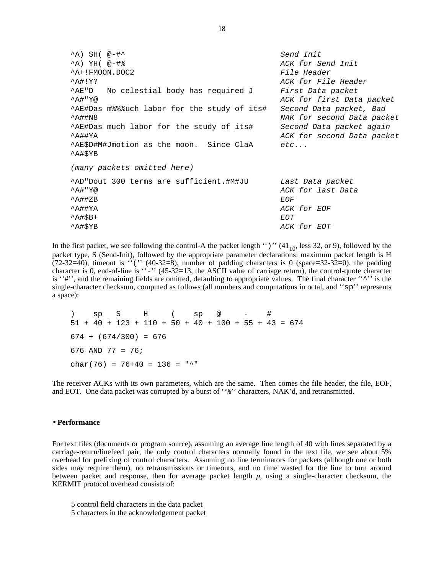$\Delta$ ) SH(  $\mathcal{Q}$  =  $\sharp$   $\uparrow$ ^A) YH( @-#% ACK for Send Init  $A+$ !FMOON.DOC2 File Header ^A#!Y? ACK for File Header AE"D No celestial body has required J First Data packet A#"Y@ ACK for first Data packet ^AE#Das m%%%uch labor for the study of its# Second Data packet, Bad ^A##N8 NAK for second Data packet ^AE#Das much labor for the study of its# Second Data packet again ^A##YA ACK for second Data packet  $^{\wedge}$ AE\$D#M#Jmotion as the moon. Since ClaA etc... ^A#\$YB (many packets omitted here) ^AD"Dout 300 terms are sufficient.#M#JU Last Data packet ^A#"Y@ ACK for last Data  $\Delta$   $\uparrow$   $\uparrow$   $\uparrow$   $\uparrow$   $\uparrow$   $\uparrow$   $\uparrow$   $\uparrow$   $\uparrow$   $\uparrow$   $\uparrow$   $\uparrow$   $\uparrow$   $\uparrow$   $\uparrow$   $\uparrow$   $\uparrow$   $\uparrow$   $\uparrow$   $\uparrow$   $\uparrow$   $\uparrow$   $\uparrow$   $\uparrow$   $\uparrow$   $\uparrow$   $\uparrow$   $\uparrow$   $\uparrow$   $\uparrow$   $\uparrow$   $\uparrow$   $\uparrow$   $\uparrow$   $\uparrow$   $\uparrow$  ^A##YA ACK for EOF  $\Delta A$ #\$B+ EOT ^A#\$YB ACK for EOT

In the first packet, we see following the control-A the packet length  $'$ )" (41 $_{10}$ , less 32, or 9), followed by the packet type, S (Send-Init), followed by the appropriate parameter declarations: maximum packet length is H  $(72-32=40)$ , timeout is " $('' (40-32=8))$ , number of padding characters is 0 (space=32-32=0), the padding character is 0, end-of-line is ''-'' (45-32=13, the ASCII value of carriage return), the control-quote character is "#", and the remaining fields are omitted, defaulting to appropriate values. The final character "^'' is the single-character checksum, computed as follows (all numbers and computations in octal, and ''sp'' represents a space):

) sp S H ( sp @ - #  $51 + 40 + 123 + 110 + 50 + 40 + 100 + 55 + 43 = 674$  $674 + (674/300) = 676$ 676 AND 77 = 76; char(76) = 76+40 = 136 = "^"

The receiver ACKs with its own parameters, which are the same. Then comes the file header, the file, EOF, and EOT. One data packet was corrupted by a burst of " $\frac{1}{6}$ " characters, NAK'd, and retransmitted.

#### • **Performance**

For text files (documents or program source), assuming an average line length of 40 with lines separated by a carriage-return/linefeed pair, the only control characters normally found in the text file, we see about 5% overhead for prefixing of control characters. Assuming no line terminators for packets (although one or both sides may require them), no retransmissions or timeouts, and no time wasted for the line to turn around between packet and response, then for average packet length *p*, using a single-character checksum, the KERMIT protocol overhead consists of:

- 5 control field characters in the data packet
- 5 characters in the acknowledgement packet

18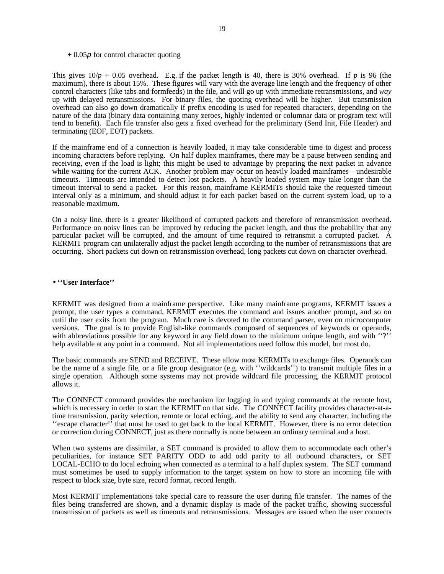#### $+ 0.05p$  for control character quoting

This gives  $10/p + 0.05$  overhead. E.g. if the packet length is 40, there is 30% overhead. If p is 96 (the maximum), there is about 15%. These figures will vary with the average line length and the frequency of other control characters (like tabs and formfeeds) in the file, and will go up with immediate retransmissions, and *way* up with delayed retransmissions. For binary files, the quoting overhead will be higher. But transmission overhead can also go down dramatically if prefix encoding is used for repeated characters, depending on the nature of the data (binary data containing many zeroes, highly indented or columnar data or program text will tend to benefit). Each file transfer also gets a fixed overhead for the preliminary (Send Init, File Header) and terminating (EOF, EOT) packets.

If the mainframe end of a connection is heavily loaded, it may take considerable time to digest and process incoming characters before replying. On half duplex mainframes, there may be a pause between sending and receiving, even if the load is light; this might be used to advantage by preparing the next packet in advance while waiting for the current ACK. Another problem may occur on heavily loaded mainframes—undesirable timeouts. Timeouts are intended to detect lost packets. A heavily loaded system may take longer than the timeout interval to send a packet. For this reason, mainframe KERMITs should take the requested timeout interval only as a minimum, and should adjust it for each packet based on the current system load, up to a reasonable maximum.

On a noisy line, there is a greater likelihood of corrupted packets and therefore of retransmission overhead. Performance on noisy lines can be improved by reducing the packet length, and thus the probability that any particular packet will be corrupted, and the amount of time required to retransmit a corrupted packet. A KERMIT program can unilaterally adjust the packet length according to the number of retransmissions that are occurring. Short packets cut down on retransmission overhead, long packets cut down on character overhead.

#### • **''User Interface''**

KERMIT was designed from a mainframe perspective. Like many mainframe programs, KERMIT issues a prompt, the user types a command, KERMIT executes the command and issues another prompt, and so on until the user exits from the program. Much care is devoted to the command parser, even on microcomputer versions. The goal is to provide English-like commands composed of sequences of keywords or operands, with abbreviations possible for any keyword in any field down to the minimum unique length, and with "?" help available at any point in a command. Not all implementations need follow this model, but most do.

The basic commands are SEND and RECEIVE. These allow most KERMITs to exchange files. Operands can be the name of a single file, or a file group designator (e.g. with ''wildcards'') to transmit multiple files in a single operation. Although some systems may not provide wildcard file processing, the KERMIT protocol allows it.

The CONNECT command provides the mechanism for logging in and typing commands at the remote host, which is necessary in order to start the KERMIT on that side. The CONNECT facility provides character-at-atime transmission, parity selection, remote or local eching, and the ability to send any character, including the ''escape character'' that must be used to get back to the local KERMIT. However, there is no error detection or correction during CONNECT, just as there normally is none between an ordinary terminal and a host.

When two systems are dissimilar, a SET command is provided to allow them to accommodate each other's peculiarities, for instance SET PARITY ODD to add odd parity to all outbound characters, or SET LOCAL-ECHO to do local echoing when connected as a terminal to a half duplex system. The SET command must sometimes be used to supply information to the target system on how to store an incoming file with respect to block size, byte size, record format, record length.

Most KERMIT implementations take special care to reassure the user during file transfer. The names of the files being transferred are shown, and a dynamic display is made of the packet traffic, showing successful transmission of packets as well as timeouts and retransmissions. Messages are issued when the user connects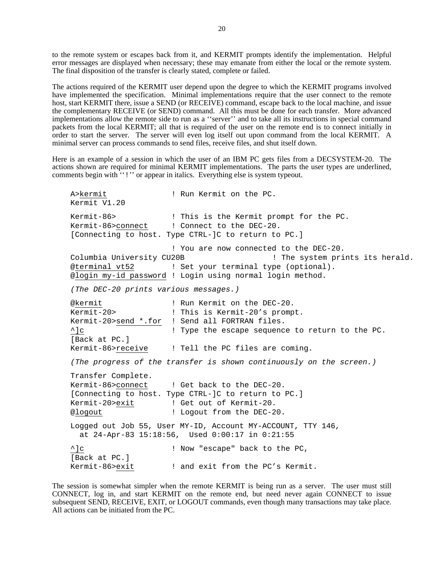to the remote system or escapes back from it, and KERMIT prompts identify the implementation. Helpful error messages are displayed when necessary; these may emanate from either the local or the remote system. The final disposition of the transfer is clearly stated, complete or failed.

The actions required of the KERMIT user depend upon the degree to which the KERMIT programs involved have implemented the specification. Minimal implementations require that the user connect to the remote host, start KERMIT there, issue a SEND (or RECEIVE) command, escape back to the local machine, and issue the complementary RECEIVE (or SEND) command. All this must be done for each transfer. More advanced implementations allow the remote side to run as a ''server'' and to take all its instructions in special command packets from the local KERMIT; all that is required of the user on the remote end is to connect initially in order to start the server. The server will even log itself out upon command from the local KERMIT. A minimal server can process commands to send files, receive files, and shut itself down.

Here is an example of a session in which the user of an IBM PC gets files from a DECSYSTEM-20. The actions shown are required for minimal KERMIT implementations. The parts the user types are underlined, comments begin with "!" or appear in italics. Everything else is system typeout.

A>kermit  $\qquad$  ! Run Kermit on the PC. Kermit V1.20 Kermit-86> ! This is the Kermit prompt for the PC. Kermit-86>connect ! Connect to the DEC-20. [Connecting to host. Type CTRL-]C to return to PC.] ! You are now connected to the DEC-20. Columbia University CU20B ! The system prints its herald. @terminal vt52 ! Set your terminal type (optional). @login my-id password ! Login using normal login method. (The DEC-20 prints various messages.) @kermit  $\blacksquare$  ! Run Kermit on the DEC-20. Kermit-20> ! This is Kermit-20's prompt. Kermit-20>send \*.for ! Send all FORTRAN files. ^]c ! Type the escape sequence to return to the PC. [Back at PC.] Kermit-86>receive ! Tell the PC files are coming. (The progress of the transfer is shown continuously on the screen.) Transfer Complete. Kermit-86>connect ! Get back to the DEC-20. [Connecting to host. Type CTRL-]C to return to PC.] Kermit-20>exit ! Get out of Kermit-20. @logout ! Logout from the DEC-20. Logged out Job 55, User MY-ID, Account MY-ACCOUNT, TTY 146, at 24-Apr-83 15:18:56, Used 0:00:17 in 0:21:55 ^]c ! Now "escape" back to the PC, [Back at PC.] Kermit-86>exit ! and exit from the PC's Kermit.

The session is somewhat simpler when the remote KERMIT is being run as a server. The user must still CONNECT, log in, and start KERMIT on the remote end, but need never again CONNECT to issue subsequent SEND, RECEIVE, EXIT, or LOGOUT commands, even though many transactions may take place. All actions can be initiated from the PC.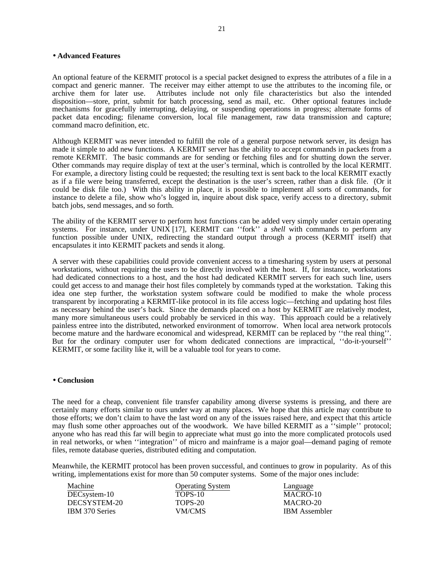## • **Advanced Features**

An optional feature of the KERMIT protocol is a special packet designed to express the attributes of a file in a compact and generic manner. The receiver may either attempt to use the attributes to the incoming file, or archive them for later use. Attributes include not only file characteristics but also the intended disposition—store, print, submit for batch processing, send as mail, etc. Other optional features include mechanisms for gracefully interrupting, delaying, or suspending operations in progress; alternate forms of packet data encoding; filename conversion, local file management, raw data transmission and capture; command macro definition, etc.

Although KERMIT was never intended to fulfill the role of a general purpose network server, its design has made it simple to add new functions. A KERMIT server has the ability to accept commands in packets from a remote KERMIT. The basic commands are for sending or fetching files and for shutting down the server. Other commands may require display of text at the user's terminal, which is controlled by the local KERMIT. For example, a directory listing could be requested; the resulting text is sent back to the local KERMIT exactly as if a file were being transferred, except the destination is the user's screen, rather than a disk file. (Or it could be disk file too.) With this ability in place, it is possible to implement all sorts of commands, for instance to delete a file, show who's logged in, inquire about disk space, verify access to a directory, submit batch jobs, send messages, and so forth.

The ability of the KERMIT server to perform host functions can be added very simply under certain operating systems. For instance, under UNIX [17], KERMIT can ''fork'' a *shell* with commands to perform any function possible under UNIX, redirecting the standard output through a process (KERMIT itself) that encapsulates it into KERMIT packets and sends it along.

A server with these capabilities could provide convenient access to a timesharing system by users at personal workstations, without requiring the users to be directly involved with the host. If, for instance, workstations had dedicated connections to a host, and the host had dedicated KERMIT servers for each such line, users could get access to and manage their host files completely by commands typed at the workstation. Taking this idea one step further, the workstation system software could be modified to make the whole process transparent by incorporating a KERMIT-like protocol in its file access logic—fetching and updating host files as necessary behind the user's back. Since the demands placed on a host by KERMIT are relatively modest, many more simultaneous users could probably be serviced in this way. This approach could be a relatively painless entree into the distributed, networked environment of tomorrow. When local area network protocols become mature and the hardware economical and widespread, KERMIT can be replaced by ''the real thing''. But for the ordinary computer user for whom dedicated connections are impractical, ''do-it-yourself'' KERMIT, or some facility like it, will be a valuable tool for years to come.

#### • **Conclusion**

The need for a cheap, convenient file transfer capability among diverse systems is pressing, and there are certainly many efforts similar to ours under way at many places. We hope that this article may contribute to those efforts; we don't claim to have the last word on any of the issues raised here, and expect that this article may flush some other approaches out of the woodwork. We have billed KERMIT as a "simple" protocol; anyone who has read this far will begin to appreciate what must go into the more complicated protocols used in real networks, or when ''integration'' of micro and mainframe is a major goal—demand paging of remote files, remote database queries, distributed editing and computation.

Meanwhile, the KERMIT protocol has been proven successful, and continues to grow in popularity. As of this writing, implementations exist for more than 50 computer systems. Some of the major ones include:

| Machine        | <b>Operating System</b> | Language             |
|----------------|-------------------------|----------------------|
| DECsystem-10   | TOPS-10                 | MACRO-10             |
| DECSYSTEM-20   | TOPS-20                 | MACRO-20             |
| IBM 370 Series | VM/CMS                  | <b>IBM</b> Assembler |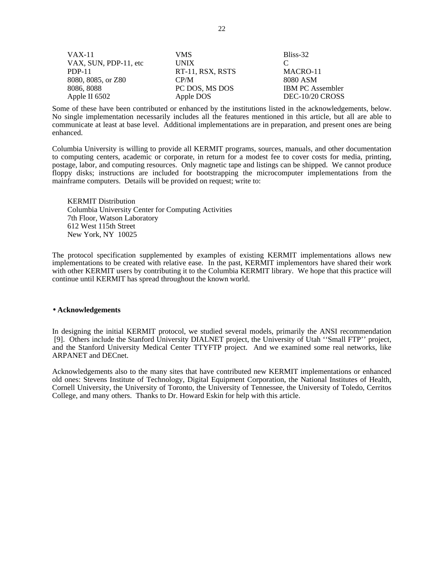| VAX-11                | VMS.             | Bliss-32                |
|-----------------------|------------------|-------------------------|
| VAX, SUN, PDP-11, etc | <b>UNIX</b>      |                         |
| PDP-11                | RT-11, RSX, RSTS | MACRO-11                |
| 8080, 8085, or Z80    | CP/M             | 8080 ASM                |
| 8086, 8088            | PC DOS, MS DOS   | <b>IBM PC Assembler</b> |
| Apple II $6502$       | Apple DOS        | DEC-10/20 CROSS         |

Some of these have been contributed or enhanced by the institutions listed in the acknowledgements, below. No single implementation necessarily includes all the features mentioned in this article, but all are able to communicate at least at base level. Additional implementations are in preparation, and present ones are being enhanced.

Columbia University is willing to provide all KERMIT programs, sources, manuals, and other documentation to computing centers, academic or corporate, in return for a modest fee to cover costs for media, printing, postage, labor, and computing resources. Only magnetic tape and listings can be shipped. We cannot produce floppy disks; instructions are included for bootstrapping the microcomputer implementations from the mainframe computers. Details will be provided on request; write to:

KERMIT Distribution Columbia University Center for Computing Activities 7th Floor, Watson Laboratory 612 West 115th Street New York, NY 10025

The protocol specification supplemented by examples of existing KERMIT implementations allows new implementations to be created with relative ease. In the past, KERMIT implementors have shared their work with other KERMIT users by contributing it to the Columbia KERMIT library. We hope that this practice will continue until KERMIT has spread throughout the known world.

# • **Acknowledgements**

In designing the initial KERMIT protocol, we studied several models, primarily the ANSI recommendation [9]. Others include the Stanford University DIALNET project, the University of Utah ''Small FTP'' project, and the Stanford University Medical Center TTYFTP project. And we examined some real networks, like ARPANET and DECnet.

Acknowledgements also to the many sites that have contributed new KERMIT implementations or enhanced old ones: Stevens Institute of Technology, Digital Equipment Corporation, the National Institutes of Health, Cornell University, the University of Toronto, the University of Tennessee, the University of Toledo, Cerritos College, and many others. Thanks to Dr. Howard Eskin for help with this article.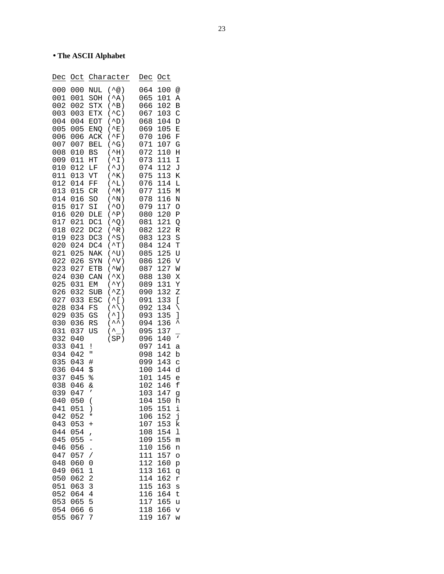# • **The ASCII Alphabet**

| Dec                                                                                                                                                                                                                                                                                                                                                                                           | Oct                                                                                                                                                                                                                                                                                                                                                                                           |                                                                                                                                                                                                                                                                                                                                                                                                                                                      | Character                                                                                                                                                                                                                                                                                                                                                                                                                                                                                                                                                                                                                                                                                                                                                                                                                                                                                    | Dec                                                                                                                                                                                                                                                                                                                                                                                           | Oct                                                                                                                                                                                                                                                                                                                                                                                                  |                                                                                                                                                                                                                                                                                                            |
|-----------------------------------------------------------------------------------------------------------------------------------------------------------------------------------------------------------------------------------------------------------------------------------------------------------------------------------------------------------------------------------------------|-----------------------------------------------------------------------------------------------------------------------------------------------------------------------------------------------------------------------------------------------------------------------------------------------------------------------------------------------------------------------------------------------|------------------------------------------------------------------------------------------------------------------------------------------------------------------------------------------------------------------------------------------------------------------------------------------------------------------------------------------------------------------------------------------------------------------------------------------------------|----------------------------------------------------------------------------------------------------------------------------------------------------------------------------------------------------------------------------------------------------------------------------------------------------------------------------------------------------------------------------------------------------------------------------------------------------------------------------------------------------------------------------------------------------------------------------------------------------------------------------------------------------------------------------------------------------------------------------------------------------------------------------------------------------------------------------------------------------------------------------------------------|-----------------------------------------------------------------------------------------------------------------------------------------------------------------------------------------------------------------------------------------------------------------------------------------------------------------------------------------------------------------------------------------------|------------------------------------------------------------------------------------------------------------------------------------------------------------------------------------------------------------------------------------------------------------------------------------------------------------------------------------------------------------------------------------------------------|------------------------------------------------------------------------------------------------------------------------------------------------------------------------------------------------------------------------------------------------------------------------------------------------------------|
| 001<br>002<br>003<br>004<br>005<br>006<br>007<br>008<br>009<br>010<br>011<br>012<br>013<br>014<br>015<br>016<br>017<br>018<br>019<br>020<br>021<br>022<br>023<br>024<br>025<br>026<br>027<br>028<br>029<br>030<br>031<br>032<br>033<br>034<br>035<br>036<br>037<br>038<br>039<br>040<br>041<br>042<br>043<br>044<br>045<br>046<br>047<br>048<br>049<br>050<br>051<br>052<br>053<br>054<br>055 | 001<br>002<br>003<br>004<br>005<br>006<br>007<br>010<br>011<br>012<br>013<br>014<br>015<br>016<br>017<br>020<br>021<br>022<br>023<br>024<br>025<br>026<br>027<br>030<br>031<br>032<br>033<br>034<br>035<br>036<br>037<br>040<br>041<br>042<br>043<br>044<br>045<br>046<br>047<br>050<br>051<br>052<br>053<br>054<br>055<br>056<br>057<br>060<br>061<br>062<br>063<br>064<br>065<br>066<br>067 | NUL<br>SOH<br><b>STX</b><br>ETX<br><b>EOT</b><br>ENQ<br>ACK<br><b>BEL</b><br><b>BS</b><br>HΤ<br>LF<br>VT<br>FF<br>CR<br>SO<br>SI<br>DLE<br>DC1<br>DC2<br>DC3<br>DC <sub>4</sub><br>NAK<br>SYN<br>ETB<br>CAN<br>EM<br><b>SUB</b><br>ESC<br>FS<br>GS<br><b>RS</b><br>US<br>ļ<br>11<br>#<br>\$<br>%<br>&<br>ı<br>$\overline{\phantom{a}}$<br>$\big)$<br>$\ast$<br>$\ddot{}$<br>$\overline{ }$<br>$\overline{1}$<br>0<br>1<br>2<br>3<br>4<br>5<br>б<br>7 | $(\wedge_{\textcircled{a}})$<br>$($ ^A)<br>$(^A$ B)<br>$^{\wedge}$ C)<br>(<br>$^{\wedge}D$ )<br>$\overline{\phantom{a}}$<br>$E$ )<br>(<br>$^{\wedge}$ F)<br>$\left($<br>$($ ^G)<br>$^{\wedge}$ H)<br>$\left($<br>$^{\wedge}$ I)<br>(<br>$\gamma$ J)<br>$\left($<br>$K$ )<br>$\overline{\phantom{a}}$<br>$^{\wedge}$ L)<br>(<br>$(\wedge_{M})$<br>$^{\wedge}$ N)<br>$\overline{\phantom{a}}$<br>$(0^{\wedge}$<br>$($ ^P $)$<br>$^{\wedge}Q$ )<br>$\left($<br>$^{\wedge}R$ )<br>$\overline{\phantom{a}}$<br>$^{\wedge}$ S)<br>(<br>$(\wedge_{T})$<br>$(^{\sim}U)$<br>'V)<br>$\left($<br>$^{\wedge}W$ )<br>(<br>$^{\wedge}$ X)<br>(<br>$\mathsf{y}$<br>$\left($<br>$^2Z)$<br>$\overline{\phantom{a}}$<br>^[<br>$\left($<br>$\mathcal{E}$<br>$\land$ )<br>(<br>$\overline{\phantom{a}}$ ]<br>$\mathcal{E}$<br>(<br>$\lambda \lambda$ )<br>(<br>$\hat{\ }$<br>$\mathcal{C}^{\prime}$<br>(<br>(SP) | 065<br>066<br>067<br>068<br>069<br>070<br>071<br>072<br>073<br>074<br>075<br>076<br>077<br>078<br>079<br>080<br>081<br>082<br>083<br>084<br>085<br>086<br>087<br>088<br>089<br>090<br>091<br>092<br>093<br>094<br>095<br>096<br>097<br>098<br>099<br>100<br>101<br>102<br>103<br>104<br>105<br>106<br>107<br>108<br>109<br>110<br>111<br>112<br>113<br>114<br>115<br>116<br>117<br>118<br>119 | 100<br>101<br>102<br>103<br>104<br>105<br>106<br>107<br>110<br>111<br>112<br>113<br>114<br>115<br>116<br>117<br>120<br>121<br>122<br>123<br>124<br>125<br>126<br>127<br>130<br>131<br>132<br>133<br>134<br>135<br>136<br>137<br>140<br>141<br>142<br>143<br>144<br>145<br>146<br>147<br>150<br>151<br>152<br>153<br>154<br>155<br>156<br>157<br>160<br>161<br>162<br>163<br>164<br>165<br>166<br>167 | Α<br>B<br>C<br>D<br>Ε<br>F<br>G<br>Η<br>I<br>J<br>Κ<br>Г<br>М<br>N<br>O<br>Ρ<br>Q<br>R<br>S<br>T<br>U<br>V<br>W<br>Χ<br>Υ<br>Ζ<br>[<br>∖<br>J<br>۸<br>$\mathbf v$<br>а<br>b<br>C<br>d<br>e<br>f<br>g<br>h<br>i<br>j<br>k<br>ı<br>m<br>n<br>O<br>p<br>đ<br>r<br>S<br>t<br>u<br>$\overline{\mathsf{v}}$<br>W |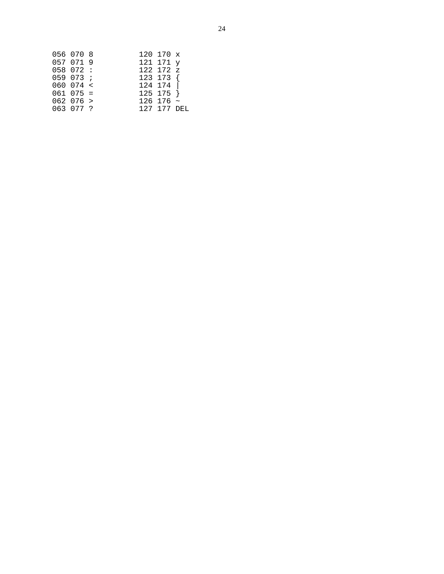| 056 070 8     | 120 170 x        |  |
|---------------|------------------|--|
| 057 071 9     | 121 171 y        |  |
| 058 072 :     | 122 172 z        |  |
| 059073;       | $123$ 173 {      |  |
| 060074 <      | 124 174          |  |
| $061$ $075 =$ | $125$ 175 }      |  |
| 062076 >      | $126$ 176 $\sim$ |  |
| 063 077 ?     | 127 177 DEL      |  |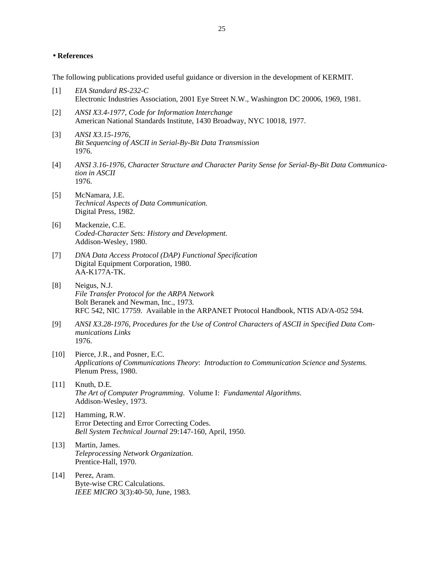# • **References**

The following publications provided useful guidance or diversion in the development of KERMIT.

- [1] *EIA Standard RS-232-C* Electronic Industries Association, 2001 Eye Street N.W., Washington DC 20006, 1969, 1981.
- [2] *ANSI X3.4-1977, Code for Information Interchange* American National Standards Institute, 1430 Broadway, NYC 10018, 1977.
- [3] *ANSI X3.15-1976, Bit Sequencing of ASCII in Serial-By-Bit Data Transmission* 1976.
- [4] *ANSI 3.16-1976, Character Structure and Character Parity Sense for Serial-By-Bit Data Communication in ASCII* 1976.
- [5] McNamara, J.E. *Technical Aspects of Data Communication.* Digital Press, 1982.
- [6] Mackenzie, C.E. *Coded-Character Sets: History and Development.* Addison-Wesley, 1980.
- [7] *DNA Data Access Protocol (DAP) Functional Specification* Digital Equipment Corporation, 1980. AA-K177A-TK.
- [8] Neigus, N.J. *File Transfer Protocol for the ARPA Network* Bolt Beranek and Newman, Inc., 1973. RFC 542, NIC 17759. Available in the ARPANET Protocol Handbook, NTIS AD/A-052 594.
- [9] *ANSI X3.28-1976, Procedures for the Use of Control Characters of ASCII in Specified Data Communications Links* 1976.
- [10] Pierce, J.R., and Posner, E.C. *Applications of Communications Theory*: *Introduction to Communication Science and Systems.* Plenum Press, 1980.
- [11] Knuth, D.E. *The Art of Computer Programming*. Volume I: *Fundamental Algorithms.* Addison-Wesley, 1973.
- [12] Hamming, R.W. Error Detecting and Error Correcting Codes. *Bell System Technical Journal* 29:147-160, April, 1950.
- [13] Martin, James. *Teleprocessing Network Organization.* Prentice-Hall, 1970.
- [14] Perez, Aram. Byte-wise CRC Calculations. *IEEE MICRO* 3(3):40-50, June, 1983.